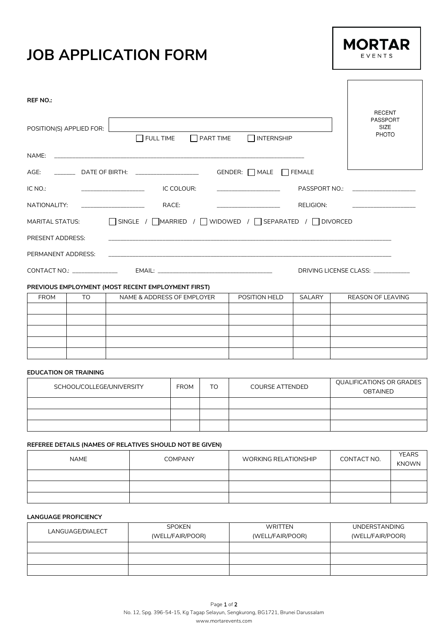## **JOB APPLICATION FORM**



 $\sqrt{ }$ 

| REF NO.:                                                            |                                                                |                  |                                                                          |                                                                                                                                                                                                                               |
|---------------------------------------------------------------------|----------------------------------------------------------------|------------------|--------------------------------------------------------------------------|-------------------------------------------------------------------------------------------------------------------------------------------------------------------------------------------------------------------------------|
| POSITION(S) APPLIED FOR:                                            | FULL TIME                                                      | $\Box$ PART TIME | <b>NOTERNSHIP</b>                                                        | <b>RECENT</b><br><b>PASSPORT</b><br>SIZE<br><b>PHOTO</b>                                                                                                                                                                      |
| NAME:                                                               |                                                                |                  |                                                                          |                                                                                                                                                                                                                               |
|                                                                     | AGE: ________________ DATE OF BIRTH: _________________________ |                  | GENDER: $\Box$ MALE $\Box$ FEMALE                                        |                                                                                                                                                                                                                               |
| IC NO.:<br><u> 1986 - Johann Harry Barbara, mars a bhaile an t-</u> | IC COLOUR:                                                     |                  |                                                                          | PASSPORT NO.: The contract of the contract of the contract of the contract of the contract of the contract of the contract of the contract of the contract of the contract of the contract of the contract of the contract of |
| NATIONALITY:                                                        | RACE:                                                          |                  | RELIGION:                                                                |                                                                                                                                                                                                                               |
|                                                                     |                                                                |                  | MARITAL STATUS: CONSIDE / COMARRIED / COMBOWED / COSEPARATED / CONVORCED |                                                                                                                                                                                                                               |
| PRESENT ADDRESS:                                                    |                                                                |                  |                                                                          |                                                                                                                                                                                                                               |
| PERMANENT ADDRESS:                                                  |                                                                |                  |                                                                          |                                                                                                                                                                                                                               |
| CONTACT NO.: _______________                                        |                                                                |                  |                                                                          | DRIVING LICENSE CLASS:                                                                                                                                                                                                        |

### **PREVIOUS EMPLOYMENT (MOST RECENT EMPLOYMENT FIRST)**

| <b>FROM</b> | TO | NAME & ADDRESS OF EMPLOYER | POSITION HELD | SALARY | REASON OF LEAVING |
|-------------|----|----------------------------|---------------|--------|-------------------|
|             |    |                            |               |        |                   |
|             |    |                            |               |        |                   |
|             |    |                            |               |        |                   |
|             |    |                            |               |        |                   |
|             |    |                            |               |        |                   |

### **EDUCATION OR TRAINING**

| SCHOOL/COLLEGE/UNIVERSITY | <b>FROM</b> | TO | <b>COURSE ATTENDED</b> | QUALIFICATIONS OR GRADES<br><b>OBTAINED</b> |  |
|---------------------------|-------------|----|------------------------|---------------------------------------------|--|
|                           |             |    |                        |                                             |  |
|                           |             |    |                        |                                             |  |
|                           |             |    |                        |                                             |  |

### **REFEREE DETAILS (NAMES OF RELATIVES SHOULD NOT BE GIVEN)**

| <b>NAME</b> | <b>COMPANY</b> | <b>WORKING RELATIONSHIP</b> | CONTACT NO. | <b>YEARS</b><br><b>KNOWN</b> |
|-------------|----------------|-----------------------------|-------------|------------------------------|
|             |                |                             |             |                              |
|             |                |                             |             |                              |
|             |                |                             |             |                              |

### **LANGUAGE PROFICIENCY**

| LANGUAGE/DIALECT | <b>SPOKEN</b>    | WRITTEN          | <b>UNDERSTANDING</b> |
|------------------|------------------|------------------|----------------------|
|                  | (WELL/FAIR/POOR) | (WELL/FAIR/POOR) | (WELL/FAIR/POOR)     |
|                  |                  |                  |                      |
|                  |                  |                  |                      |
|                  |                  |                  |                      |